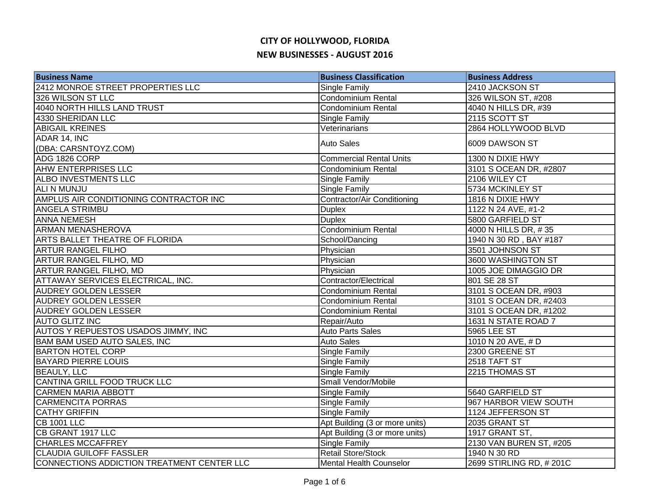| <b>Business Name</b>                       | <b>Business Classification</b> | <b>Business Address</b> |
|--------------------------------------------|--------------------------------|-------------------------|
| 2412 MONROE STREET PROPERTIES LLC          | Single Family                  | 2410 JACKSON ST         |
| 326 WILSON ST LLC                          | <b>Condominium Rental</b>      | 326 WILSON ST, #208     |
| 4040 NORTH HILLS LAND TRUST                | <b>Condominium Rental</b>      | 4040 N HILLS DR, #39    |
| 4330 SHERIDAN LLC                          | Single Family                  | 2115 SCOTT ST           |
| <b>ABIGAIL KREINES</b>                     | Veterinarians                  | 2864 HOLLYWOOD BLVD     |
| ADAR 14, INC                               | <b>Auto Sales</b>              | 6009 DAWSON ST          |
| (DBA: CARSNTOYZ.COM)                       |                                |                         |
| ADG 1826 CORP                              | <b>Commercial Rental Units</b> | 1300 N DIXIE HWY        |
| <b>AHW ENTERPRISES LLC</b>                 | <b>Condominium Rental</b>      | 3101 S OCEAN DR, #2807  |
| ALBO INVESTMENTS LLC                       | Single Family                  | 2106 WILEY CT           |
| ALI N MUNJU                                | Single Family                  | 5734 MCKINLEY ST        |
| AMPLUS AIR CONDITIONING CONTRACTOR INC     | Contractor/Air Conditioning    | 1816 N DIXIE HWY        |
| ANGELA STRIMBU                             | <b>Duplex</b>                  | 1122 N 24 AVE, #1-2     |
| <b>ANNA NEMESH</b>                         | <b>Duplex</b>                  | 5800 GARFIELD ST        |
| <b>ARMAN MENASHEROVA</b>                   | Condominium Rental             | 4000 N HILLS DR, #35    |
| ARTS BALLET THEATRE OF FLORIDA             | School/Dancing                 | 1940 N 30 RD, BAY #187  |
| <b>ARTUR RANGEL FILHO</b>                  | Physician                      | 3501 JOHNSON ST         |
| <b>ARTUR RANGEL FILHO, MD</b>              | Physician                      | 3600 WASHINGTON ST      |
| <b>ARTUR RANGEL FILHO, MD</b>              | Physician                      | 1005 JOE DIMAGGIO DR    |
| <b>ATTAWAY SERVICES ELECTRICAL, INC.</b>   | Contractor/Electrical          | 801 SE 28 ST            |
| <b>AUDREY GOLDEN LESSER</b>                | Condominium Rental             | 3101 S OCEAN DR, #903   |
| <b>AUDREY GOLDEN LESSER</b>                | <b>Condominium Rental</b>      | 3101 S OCEAN DR, #2403  |
| <b>AUDREY GOLDEN LESSER</b>                | <b>Condominium Rental</b>      | 3101 S OCEAN DR, #1202  |
| <b>AUTO GLITZ INC</b>                      | Repair/Auto                    | 1631 N STATE ROAD 7     |
| AUTOS Y REPUESTOS USADOS JIMMY, INC        | <b>Auto Parts Sales</b>        | 5965 LEE ST             |
| BAM BAM USED AUTO SALES, INC               | Auto Sales                     | 1010 N 20 AVE, # D      |
| <b>BARTON HOTEL CORP</b>                   | Single Family                  | 2300 GREENE ST          |
| <b>BAYARD PIERRE LOUIS</b>                 | Single Family                  | 2518 TAFT ST            |
| <b>BEAULY, LLC</b>                         | Single Family                  | 2215 THOMAS ST          |
| CANTINA GRILL FOOD TRUCK LLC               | Small Vendor/Mobile            |                         |
| <b>CARMEN MARIA ABBOTT</b>                 | Single Family                  | 5640 GARFIELD ST        |
| <b>CARMENCITA PORRAS</b>                   | Single Family                  | 967 HARBOR VIEW SOUTH   |
| <b>CATHY GRIFFIN</b>                       | Single Family                  | 1124 JEFFERSON ST       |
| <b>CB 1001 LLC</b>                         | Apt Building (3 or more units) | 2035 GRANT ST           |
| CB GRANT 1917 LLC                          | Apt Building (3 or more units) | 1917 GRANT ST,          |
| <b>CHARLES MCCAFFREY</b>                   | Single Family                  | 2130 VAN BUREN ST, #205 |
| <b>CLAUDIA GUILOFF FASSLER</b>             | Retail Store/Stock             | 1940 N 30 RD            |
| CONNECTIONS ADDICTION TREATMENT CENTER LLC | <b>Mental Health Counselor</b> | 2699 STIRLING RD, #201C |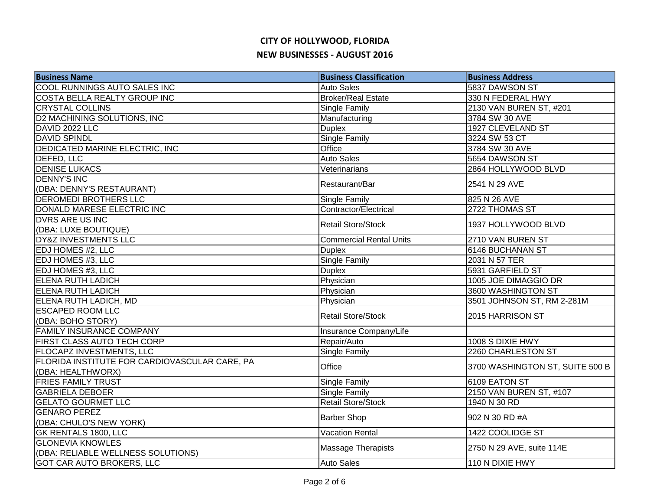| <b>Business Name</b>                          | <b>Business Classification</b> | <b>Business Address</b>         |
|-----------------------------------------------|--------------------------------|---------------------------------|
| COOL RUNNINGS AUTO SALES INC                  | <b>Auto Sales</b>              | 5837 DAWSON ST                  |
| COSTA BELLA REALTY GROUP INC                  | <b>Broker/Real Estate</b>      | 330 N FEDERAL HWY               |
| <b>CRYSTAL COLLINS</b>                        | Single Family                  | 2130 VAN BUREN ST, #201         |
| D2 MACHINING SOLUTIONS, INC                   | Manufacturing                  | 3784 SW 30 AVE                  |
| DAVID 2022 LLC                                | <b>Duplex</b>                  | 1927 CLEVELAND ST               |
| <b>DAVID SPINDL</b>                           | Single Family                  | 3224 SW 53 CT                   |
| DEDICATED MARINE ELECTRIC, INC                | Office                         | 3784 SW 30 AVE                  |
| DEFED, LLC                                    | <b>Auto Sales</b>              | 5654 DAWSON ST                  |
| <b>DENISE LUKACS</b>                          | Veterinarians                  | 2864 HOLLYWOOD BLVD             |
| <b>DENNY'S INC</b>                            | Restaurant/Bar                 | 2541 N 29 AVE                   |
| (DBA: DENNY'S RESTAURANT)                     |                                |                                 |
| DEROMEDI BROTHERS LLC                         | Single Family                  | 825 N 26 AVE                    |
| DONALD MARESE ELECTRIC INC                    | Contractor/Electrical          | 2722 THOMAS ST                  |
| DVRS ARE US INC                               | <b>Retail Store/Stock</b>      | 1937 HOLLYWOOD BLVD             |
| (DBA: LUXE BOUTIQUE)                          |                                |                                 |
| DY&Z INVESTMENTS LLC                          | <b>Commercial Rental Units</b> | 2710 VAN BUREN ST               |
| EDJ HOMES #2, LLC                             | <b>Duplex</b>                  | 6146 BUCHANAN ST                |
| EDJ HOMES #3, LLC                             | Single Family                  | 2031 N 57 TER                   |
| EDJ HOMES #3, LLC                             | <b>Duplex</b>                  | 5931 GARFIELD ST                |
| <b>ELENA RUTH LADICH</b>                      | Physician                      | 1005 JOE DIMAGGIO DR            |
| <b>ELENA RUTH LADICH</b>                      | Physician                      | 3600 WASHINGTON ST              |
| ELENA RUTH LADICH, MD                         | Physician                      | 3501 JOHNSON ST, RM 2-281M      |
| <b>ESCAPED ROOM LLC</b>                       | <b>Retail Store/Stock</b>      | 2015 HARRISON ST                |
| (DBA: BOHO STORY)                             |                                |                                 |
| <b>FAMILY INSURANCE COMPANY</b>               | Insurance Company/Life         |                                 |
| FIRST CLASS AUTO TECH CORP                    | Repair/Auto                    | 1008 S DIXIE HWY                |
| <b>FLOCAPZ INVESTMENTS, LLC</b>               | Single Family                  | 2260 CHARLESTON ST              |
| FLORIDA INSTITUTE FOR CARDIOVASCULAR CARE, PA | Office                         | 3700 WASHINGTON ST, SUITE 500 B |
| (DBA: HEALTHWORX)                             |                                |                                 |
| <b>FRIES FAMILY TRUST</b>                     | Single Family                  | 6109 EATON ST                   |
| <b>GABRIELA DEBOER</b>                        | Single Family                  | 2150 VAN BUREN ST, #107         |
| <b>GELATO GOURMET LLC</b>                     | <b>Retail Store/Stock</b>      | 1940 N 30 RD                    |
| <b>GENARO PEREZ</b>                           | <b>Barber Shop</b>             | 902 N 30 RD #A                  |
| (DBA: CHULO'S NEW YORK)                       |                                |                                 |
| GK RENTALS 1800, LLC                          | <b>Vacation Rental</b>         | 1422 COOLIDGE ST                |
| <b>GLONEVIA KNOWLES</b>                       | <b>Massage Therapists</b>      | 2750 N 29 AVE, suite 114E       |
| (DBA: RELIABLE WELLNESS SOLUTIONS)            |                                |                                 |
| GOT CAR AUTO BROKERS, LLC                     | <b>Auto Sales</b>              | 110 N DIXIE HWY                 |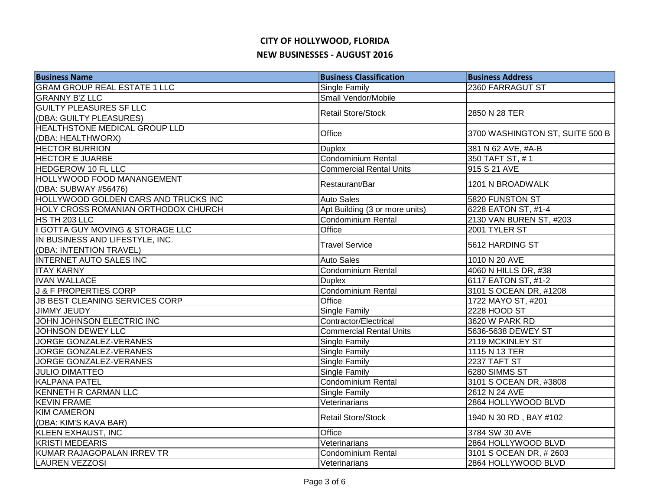| <b>Business Name</b>                 | <b>Business Classification</b> | <b>Business Address</b>         |
|--------------------------------------|--------------------------------|---------------------------------|
| <b>GRAM GROUP REAL ESTATE 1 LLC</b>  | Single Family                  | 2360 FARRAGUT ST                |
| <b>GRANNY B'Z LLC</b>                | Small Vendor/Mobile            |                                 |
| <b>GUILTY PLEASURES SF LLC</b>       | <b>Retail Store/Stock</b>      |                                 |
| (DBA: GUILTY PLEASURES)              |                                | 2850 N 28 TER                   |
| <b>HEALTHSTONE MEDICAL GROUP LLD</b> | Office                         | 3700 WASHINGTON ST, SUITE 500 B |
| (DBA: HEALTHWORX)                    |                                |                                 |
| <b>HECTOR BURRION</b>                | <b>Duplex</b>                  | 381 N 62 AVE, #A-B              |
| <b>HECTOR E JUARBE</b>               | Condominium Rental             | 350 TAFT ST, #1                 |
| <b>HEDGEROW 10 FL LLC</b>            | <b>Commercial Rental Units</b> | 915 S 21 AVE                    |
| HOLLYWOOD FOOD MANANGEMENT           | Restaurant/Bar                 | 1201 N BROADWALK                |
| (DBA: SUBWAY #56476)                 |                                |                                 |
| HOLLYWOOD GOLDEN CARS AND TRUCKS INC | <b>Auto Sales</b>              | 5820 FUNSTON ST                 |
| HOLY CROSS ROMANIAN ORTHODOX CHURCH  | Apt Building (3 or more units) | 6228 EATON ST, #1-4             |
| HS TH 203 LLC                        | Condominium Rental             | 2130 VAN BUREN ST, #203         |
| I GOTTA GUY MOVING & STORAGE LLC     | Office                         | 2001 TYLER ST                   |
| IN BUSINESS AND LIFESTYLE, INC.      | <b>Travel Service</b>          | 5612 HARDING ST                 |
| (DBA: INTENTION TRAVEL)              |                                |                                 |
| <b>INTERNET AUTO SALES INC</b>       | <b>Auto Sales</b>              | 1010 N 20 AVE                   |
| <b>ITAY KARNY</b>                    | <b>Condominium Rental</b>      | 4060 N HILLS DR, #38            |
| <b>IVAN WALLACE</b>                  | <b>Duplex</b>                  | 6117 EATON ST, #1-2             |
| <b>J &amp; F PROPERTIES CORP</b>     | <b>Condominium Rental</b>      | 3101 S OCEAN DR, #1208          |
| JB BEST CLEANING SERVICES CORP       | Office                         | 1722 MAYO ST, #201              |
| <b>JIMMY JEUDY</b>                   | Single Family                  | 2228 HOOD ST                    |
| JOHN JOHNSON ELECTRIC INC            | Contractor/Electrical          | 3620 W PARK RD                  |
| <b>JOHNSON DEWEY LLC</b>             | <b>Commercial Rental Units</b> | 5636-5638 DEWEY ST              |
| <b>JORGE GONZALEZ-VERANES</b>        | Single Family                  | 2119 MCKINLEY ST                |
| JORGE GONZALEZ-VERANES               | Single Family                  | 1115 N 13 TER                   |
| <b>JORGE GONZALEZ-VERANES</b>        | Single Family                  | 2237 TAFT ST                    |
| <b>JULIO DIMATTEO</b>                | Single Family                  | 6280 SIMMS ST                   |
| <b>KALPANA PATEL</b>                 | Condominium Rental             | 3101 S OCEAN DR, #3808          |
| <b>KENNETH R CARMAN LLC</b>          | Single Family                  | 2612 N 24 AVE                   |
| <b>KEVIN FRAME</b>                   | Veterinarians                  | 2864 HOLLYWOOD BLVD             |
| <b>KIM CAMERON</b>                   | <b>Retail Store/Stock</b>      | 1940 N 30 RD, BAY #102          |
| (DBA: KIM'S KAVA BAR)                |                                |                                 |
| KLEEN EXHAUST, INC                   | Office                         | 3784 SW 30 AVE                  |
| <b>KRISTI MEDEARIS</b>               | Veterinarians                  | 2864 HOLLYWOOD BLVD             |
| KUMAR RAJAGOPALAN IRREV TR           | <b>Condominium Rental</b>      | 3101 S OCEAN DR, #2603          |
| <b>LAUREN VEZZOSI</b>                | Veterinarians                  | 2864 HOLLYWOOD BLVD             |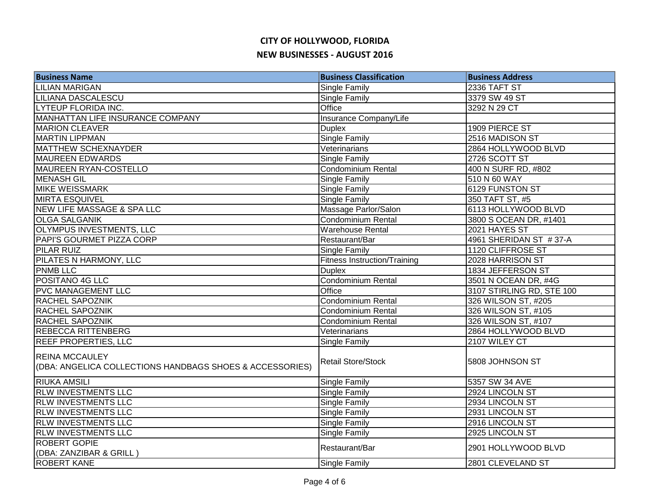| <b>Business Name</b>                                                               | <b>Business Classification</b>      | <b>Business Address</b>   |
|------------------------------------------------------------------------------------|-------------------------------------|---------------------------|
| <b>LILIAN MARIGAN</b>                                                              | Single Family                       | 2336 TAFT ST              |
| <b>LILIANA DASCALESCU</b>                                                          | Single Family                       | 3379 SW 49 ST             |
| <b>LYTEUP FLORIDA INC.</b>                                                         | Office                              | 3292 N 29 CT              |
| MANHATTAN LIFE INSURANCE COMPANY                                                   | Insurance Company/Life              |                           |
| <b>MARION CLEAVER</b>                                                              | <b>Duplex</b>                       | 1909 PIERCE ST            |
| <b>MARTIN LIPPMAN</b>                                                              | Single Family                       | 2516 MADISON ST           |
| MATTHEW SCHEXNAYDER                                                                | Veterinarians                       | 2864 HOLLYWOOD BLVD       |
| <b>MAUREEN EDWARDS</b>                                                             | Single Family                       | 2726 SCOTT ST             |
| MAUREEN RYAN-COSTELLO                                                              | Condominium Rental                  | 400 N SURF RD, #802       |
| <b>MENASH GIL</b>                                                                  | Single Family                       | 510 N 60 WAY              |
| <b>MIKE WEISSMARK</b>                                                              | Single Family                       | 6129 FUNSTON ST           |
| <b>MIRTA ESQUIVEL</b>                                                              | Single Family                       | 350 TAFT ST, #5           |
| NEW LIFE MASSAGE & SPA LLC                                                         | Massage Parlor/Salon                | 6113 HOLLYWOOD BLVD       |
| <b>OLGA SALGANIK</b>                                                               | Condominium Rental                  | 3800 S OCEAN DR, #1401    |
| OLYMPUS INVESTMENTS, LLC                                                           | <b>Warehouse Rental</b>             | 2021 HAYES ST             |
| PAPI'S GOURMET PIZZA CORP                                                          | Restaurant/Bar                      | 4961 SHERIDAN ST #37-A    |
| <b>PILAR RUIZ</b>                                                                  | Single Family                       | 1120 CLIFFROSE ST         |
| PILATES N HARMONY, LLC                                                             | <b>Fitness Instruction/Training</b> | 2028 HARRISON ST          |
| <b>PNMB LLC</b>                                                                    | <b>Duplex</b>                       | 1834 JEFFERSON ST         |
| POSITANO 4G LLC                                                                    | <b>Condominium Rental</b>           | 3501 N OCEAN DR, #4G      |
| <b>PVC MANAGEMENT LLC</b>                                                          | <b>Office</b>                       | 3107 STIRLING RD, STE 100 |
| RACHEL SAPOZNIK                                                                    | Condominium Rental                  | 326 WILSON ST, #205       |
| <b>RACHEL SAPOZNIK</b>                                                             | <b>Condominium Rental</b>           | 326 WILSON ST, #105       |
| <b>RACHEL SAPOZNIK</b>                                                             | Condominium Rental                  | 326 WILSON ST, #107       |
| <b>REBECCA RITTENBERG</b>                                                          | Veterinarians                       | 2864 HOLLYWOOD BLVD       |
| <b>REEF PROPERTIES, LLC</b>                                                        | Single Family                       | 2107 WILEY CT             |
| <b>REINA MCCAULEY</b><br>((DBA: ANGELICA COLLECTIONS HANDBAGS SHOES & ACCESSORIES) | <b>Retail Store/Stock</b>           | 5808 JOHNSON ST           |
| <b>RIUKA AMSILI</b>                                                                | Single Family                       | 5357 SW 34 AVE            |
| <b>RLW INVESTMENTS LLC</b>                                                         | Single Family                       | 2924 LINCOLN ST           |
| <b>RLW INVESTMENTS LLC</b>                                                         | Single Family                       | 2934 LINCOLN ST           |
| <b>RLW INVESTMENTS LLC</b>                                                         | Single Family                       | 2931 LINCOLN ST           |
| <b>RLW INVESTMENTS LLC</b>                                                         | Single Family                       | 2916 LINCOLN ST           |
| <b>RLW INVESTMENTS LLC</b>                                                         | Single Family                       | 2925 LINCOLN ST           |
| <b>ROBERT GOPIE</b>                                                                | Restaurant/Bar                      | 2901 HOLLYWOOD BLVD       |
| (DBA: ZANZIBAR & GRILL)                                                            |                                     |                           |
| <b>ROBERT KANE</b>                                                                 | Single Family                       | 2801 CLEVELAND ST         |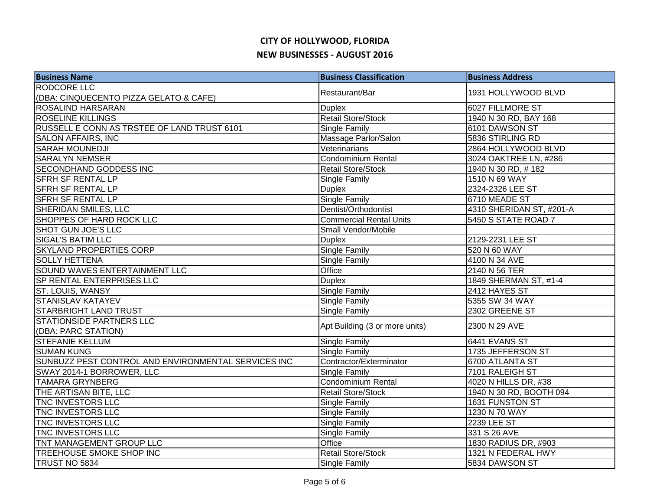| <b>Business Name</b>                                | <b>Business Classification</b> | <b>Business Address</b>  |
|-----------------------------------------------------|--------------------------------|--------------------------|
| <b>RODCORE LLC</b>                                  | Restaurant/Bar                 | 1931 HOLLYWOOD BLVD      |
| (DBA: CINQUECENTO PIZZA GELATO & CAFE)              |                                |                          |
| <b>ROSALIND HARSARAN</b>                            | <b>Duplex</b>                  | 6027 FILLMORE ST         |
| <b>ROSELINE KILLINGS</b>                            | <b>Retail Store/Stock</b>      | 1940 N 30 RD, BAY 168    |
| RUSSELL E CONN AS TRSTEE OF LAND TRUST 6101         | Single Family                  | 6101 DAWSON ST           |
| <b>SALON AFFAIRS, INC</b>                           | Massage Parlor/Salon           | 5836 STIRLING RD         |
| <b>SARAH MOUNEDJI</b>                               | Veterinarians                  | 2864 HOLLYWOOD BLVD      |
| <b>SARALYN NEMSER</b>                               | Condominium Rental             | 3024 OAKTREE LN, #286    |
| <b>SECONDHAND GODDESS INC</b>                       | <b>Retail Store/Stock</b>      | 1940 N 30 RD, #182       |
| <b>SFRH SF RENTAL LP</b>                            | Single Family                  | 1510 N 69 WAY            |
| <b>SFRH SF RENTAL LP</b>                            | <b>Duplex</b>                  | 2324-2326 LEE ST         |
| <b>SFRH SF RENTAL LP</b>                            | Single Family                  | 6710 MEADE ST            |
| <b>SHERIDAN SMILES, LLC</b>                         | Dentist/Orthodontist           | 4310 SHERIDAN ST, #201-A |
| SHOPPES OF HARD ROCK LLC                            | <b>Commercial Rental Units</b> | 5450 S STATE ROAD 7      |
| <b>SHOT GUN JOE'S LLC</b>                           | Small Vendor/Mobile            |                          |
| <b>SIGAL'S BATIM LLC</b>                            | <b>Duplex</b>                  | 2129-2231 LEE ST         |
| <b>SKYLAND PROPERTIES CORP</b>                      | Single Family                  | 520 N 60 WAY             |
| <b>SOLLY HETTENA</b>                                | <b>Single Family</b>           | 4100 N 34 AVE            |
| SOUND WAVES ENTERTAINMENT LLC                       | Office                         | 2140 N 56 TER            |
| <b>SP RENTAL ENTERPRISES LLC</b>                    | <b>Duplex</b>                  | 1849 SHERMAN ST, #1-4    |
| <b>ST. LOUIS, WANSY</b>                             | Single Family                  | 2412 HAYES ST            |
| <b>STANISLAV KATAYEV</b>                            | Single Family                  | 5355 SW 34 WAY           |
| <b>STARBRIGHT LAND TRUST</b>                        | Single Family                  | 2302 GREENE ST           |
| <b>STATIONSIDE PARTNERS LLC</b>                     | Apt Building (3 or more units) | 2300 N 29 AVE            |
| (DBA: PARC STATION)                                 |                                |                          |
| <b>STEFANIE KELLUM</b>                              | Single Family                  | 6441 EVANS ST            |
| <b>SUMAN KUNG</b>                                   | <b>Single Family</b>           | 1735 JEFFERSON ST        |
| SUNBUZZ PEST CONTROL AND ENVIRONMENTAL SERVICES INC | Contractor/Exterminator        | 6700 ATLANTA ST          |
| SWAY 2014-1 BORROWER, LLC                           | <b>Single Family</b>           | 7101 RALEIGH ST          |
| <b>TAMARA GRYNBERG</b>                              | Condominium Rental             | 4020 N HILLS DR, #38     |
| THE ARTISAN BITE, LLC                               | <b>Retail Store/Stock</b>      | 1940 N 30 RD, BOOTH 094  |
| TNC INVESTORS LLC                                   | Single Family                  | 1631 FUNSTON ST          |
| TNC INVESTORS LLC                                   | Single Family                  | 1230 N 70 WAY            |
| TNC INVESTORS LLC                                   | Single Family                  | <b>2239 LEE ST</b>       |
| TNC INVESTORS LLC                                   | Single Family                  | 331 S 26 AVE             |
| TNT MANAGEMENT GROUP LLC                            | Office                         | 1830 RADIUS DR, #903     |
| TREEHOUSE SMOKE SHOP INC                            | <b>Retail Store/Stock</b>      | 1321 N FEDERAL HWY       |
| TRUST NO 5834                                       | <b>Single Family</b>           | 5834 DAWSON ST           |